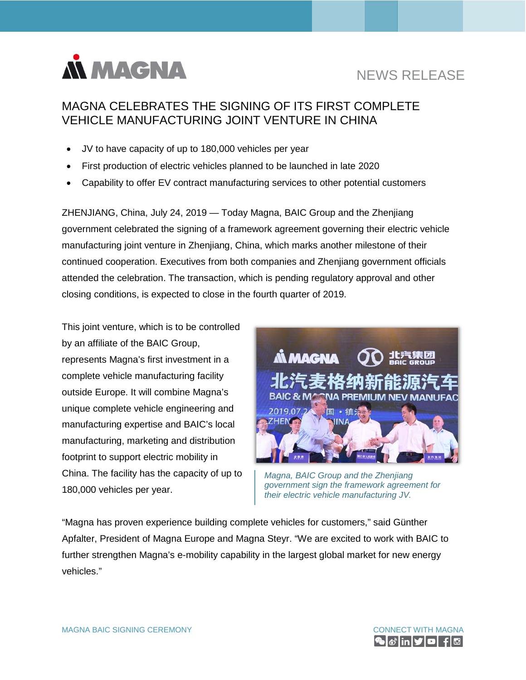

# NEWS RELEASE

## MAGNA CELEBRATES THE SIGNING OF ITS FIRST COMPLETE VEHICLE MANUFACTURING JOINT VENTURE IN CHINA

- JV to have capacity of up to 180,000 vehicles per year
- First production of electric vehicles planned to be launched in late 2020
- Capability to offer EV contract manufacturing services to other potential customers

ZHENJIANG, China, July 24, 2019 — Today Magna, BAIC Group and the Zhenjiang government celebrated the signing of a framework agreement governing their electric vehicle manufacturing joint venture in Zhenjiang, China, which marks another milestone of their continued cooperation. Executives from both companies and Zhenjiang government officials attended the celebration. The transaction, which is pending regulatory approval and other closing conditions, is expected to close in the fourth quarter of 2019.

This joint venture, which is to be controlled by an affiliate of the BAIC Group, represents Magna's first investment in a complete vehicle manufacturing facility outside Europe. It will combine Magna's unique complete vehicle engineering and manufacturing expertise and BAIC's local manufacturing, marketing and distribution footprint to support electric mobility in China. The facility has the capacity of up to 180,000 vehicles per year.



*Magna, BAIC Group and the Zhenjiang government sign the framework agreement for their electric vehicle manufacturing JV.*

"Magna has proven experience building complete vehicles for customers," said Günther Apfalter, President of Magna Europe and Magna Steyr. "We are excited to work with BAIC to further strengthen Magna's e-mobility capability in the largest global market for new energy vehicles."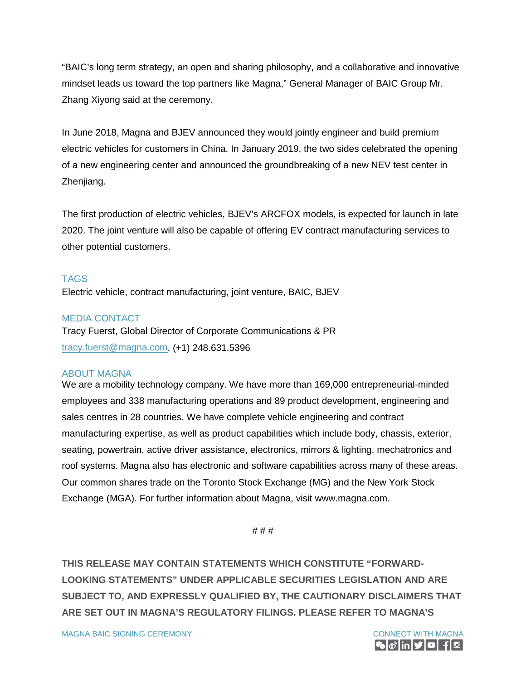"BAIC's long term strategy, an open and sharing philosophy, and a collaborative and innovative mindset leads us toward the top partners like Magna," General Manager of BAIC Group Mr. Zhang Xiyong said at the ceremony.

In June 2018, Magna and BJEV announced they would jointly engineer and build premium electric vehicles for customers in China. In January 2019, the two sides celebrated the opening of a new engineering center and announced the groundbreaking of a new NEV test center in Zhenjiang.

The first production of electric vehicles, BJEV's ARCFOX models, is expected for launch in late 2020. The joint venture will also be capable of offering EV contract manufacturing services to other potential customers.

### TAGS

Electric vehicle, contract manufacturing, joint venture, BAIC, BJEV

#### MEDIA CONTACT

Tracy Fuerst, Global Director of Corporate Communications & PR [tracy.fuerst@magna.com,](mailto:tracy.fuerst@magna.com) (+1) 248.631.5396

#### ABOUT MAGNA

We are a mobility technology company. We have more than 169,000 entrepreneurial-minded employees and 338 manufacturing operations and 89 product development, engineering and sales centres in 28 countries. We have complete vehicle engineering and contract manufacturing expertise, as well as product capabilities which include body, chassis, exterior, seating, powertrain, active driver assistance, electronics, mirrors & lighting, mechatronics and roof systems. Magna also has electronic and software capabilities across many of these areas. Our common shares trade on the Toronto Stock Exchange (MG) and the New York Stock Exchange (MGA). For further information about Magna, visit [www.magna.com.](https://www.magna.com/)

# # #

**THIS RELEASE MAY CONTAIN STATEMENTS WHICH CONSTITUTE "FORWARD-LOOKING STATEMENTS" UNDER APPLICABLE SECURITIES LEGISLATION AND ARE SUBJECT TO, AND EXPRESSLY QUALIFIED BY, THE CAUTIONARY DISCLAIMERS THAT ARE SET OUT IN MAGNA'S REGULATORY FILINGS. PLEASE REFER TO MAGNA'S**